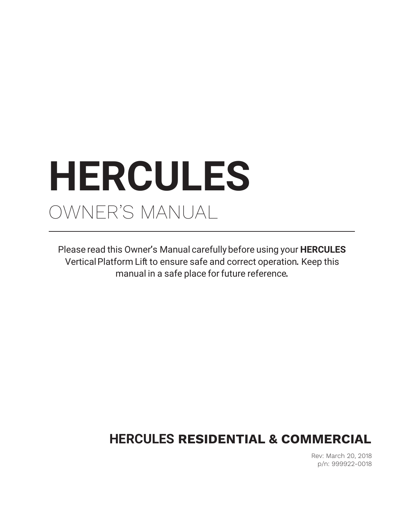# **HERCULES** OWNER'S MANUAL

Please read this Owner**'**s Manual carefullybefore using your **HERCULES** VerticalPlatform Lift to ensure safe and correct operation**.** Keep this manual in a safe place for future reference**.** 

# **HERCULES RESIDENTIAL & COMMERCIAL**

Rev: March 20, 2018 p/n: 999922-0018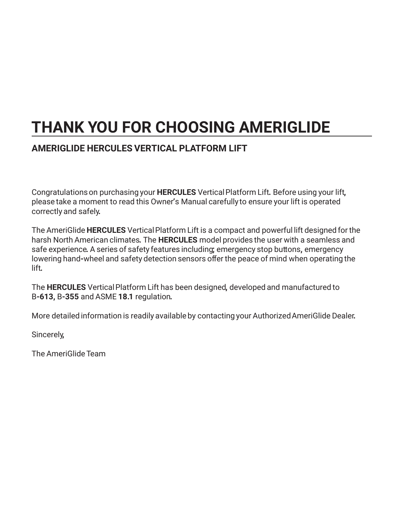# **THANK YOU FOR CHOOSING AMERIGLIDE**

### **AMERIGLIDE HERCULES VERTICAL PLATFORM LIFT**

Congratulationson purchasing your **HERCULES** VerticalPlatform Lift**.** Before using your lift**,**  please take a moment to read this Owner**'**s Manual carefully to ensure your lift is operated correctly and safely**.** 

The AmeriGlide **HERCULES** VerticalPlatform Lift is a compact and powerful lift designed for the harsh North American climates**.** The **HERCULES** model provides the user with a seamless and safe experience**.** A series of safety features including**;** emergency stop buttons**,** emergency lowering hand**-**wheel and safety detection sensors offer the peace of mind when operating the lift**.**

The **HERCULES** VerticalPlatform Lift has been designed**,** developed and manufactured to B**-613,** B**-355** and ASME **18.1** regulation**.**

More detailed information is readily available by contacting your AuthorizedAmeriGlide Dealer**.**

Sincerely**,**

The AmeriGlide Team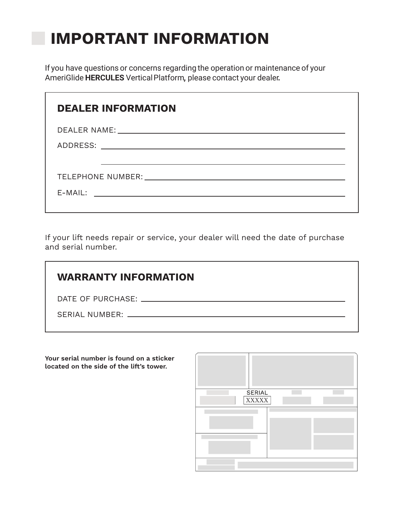# **IMPORTANT INFORMATION**

If you have questions or concerns regarding the operation or maintenance of your AmeriGlide **HERCULES** VerticalPlatform**,** please contact your dealer**.** 

| <b>DEALER INFORMATION</b> |
|---------------------------|
|                           |
|                           |
|                           |
|                           |
| $E-MAIL:$                 |
|                           |

If your lift needs repair or service, your dealer will need the date of purchase and serial number.

| <b>WARRANTY INFORMATION</b>                                                                                                                                                                                                    |
|--------------------------------------------------------------------------------------------------------------------------------------------------------------------------------------------------------------------------------|
|                                                                                                                                                                                                                                |
| SERIAL NUMBER: The contract of the contract of the contract of the contract of the contract of the contract of the contract of the contract of the contract of the contract of the contract of the contract of the contract of |
|                                                                                                                                                                                                                                |

**Your serial number is found on a sticker located on the side of the lift's tower.** 

| SERIAL       |  |
|--------------|--|
| <b>XXXXX</b> |  |
|              |  |
|              |  |
|              |  |
|              |  |
|              |  |
|              |  |
|              |  |
|              |  |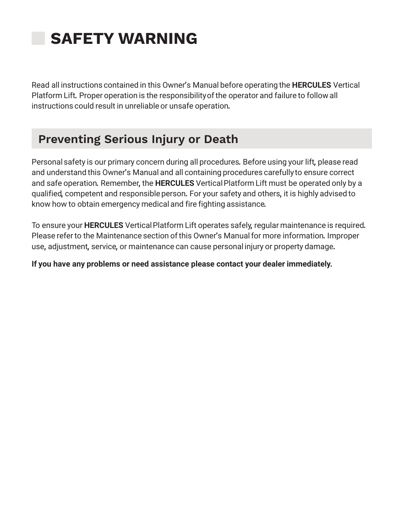# **SAFETY WARNING**

Read all instructions contained in this Owner**'**s Manual before operating the **HERCULES** Vertical Platform Lift**.** Proper operation is the responsibilityofthe operator and failure to follow all instructions could result in unreliable or unsafe operation**.**

# **Preventing Serious Injury or Death**

Personal safety is our primary concern during all procedures**.** Before using your lift**,** please read and understand this Owner**'**s Manual and all containing procedures carefully to ensure correct and safe operation**.** Remember**,** the **HERCULES** VerticalPlatform Lift must be operated only by a qualified**,** competent and responsibleperson**.** For your safety and others**,** it is highly advised to know how to obtain emergency medical and fire fighting assistance**.**

To ensure your **HERCULES** VerticalPlatform Lift operates safely**,** regular maintenance is required**.**  Please referto the Maintenance section ofthis Owner**'**s Manualfor more information**.** Improper use**,** adjustment**,** service**,** or maintenance can cause personal injury or property damage**.**

**If you have any problems or need assistance please contact your dealer immediately.**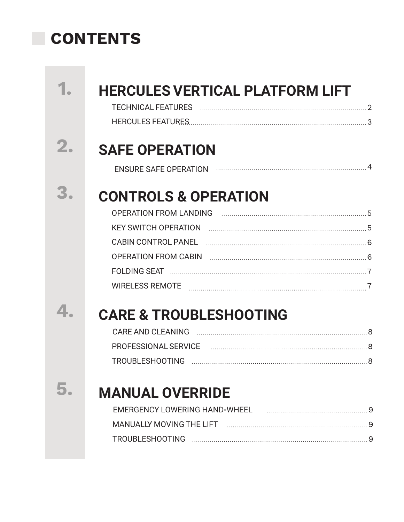# **CONTENTS**

|                | <b>HERCULES VERTICAL PLATFORM LIFT</b>                                                                                                            |
|----------------|---------------------------------------------------------------------------------------------------------------------------------------------------|
| $\mathbf{2}$ . | <b>SAFE OPERATION</b><br><b>ENSURE SAFE OPERATION</b>                                                                                             |
|                | <b>CONTROLS &amp; OPERATION</b><br>OPERATION FROM LANDING FOR ALL AND THE STATE STATE STATE STATE STATE STATE STATE STATE STATE STATE STATE STATE |
|                |                                                                                                                                                   |
|                |                                                                                                                                                   |
|                |                                                                                                                                                   |
|                |                                                                                                                                                   |
|                |                                                                                                                                                   |
|                | <b>CARE &amp; TROUBLESHOOTING</b>                                                                                                                 |
|                |                                                                                                                                                   |
|                | PROFESSIONAL SERVICE ACCORDINATION AND ACCORDING A SERVICE AND THE MAGNIFICAL SERVICE                                                             |
|                |                                                                                                                                                   |
|                | <b>MANUAL OVERRIDE</b>                                                                                                                            |
|                |                                                                                                                                                   |
|                |                                                                                                                                                   |
|                |                                                                                                                                                   |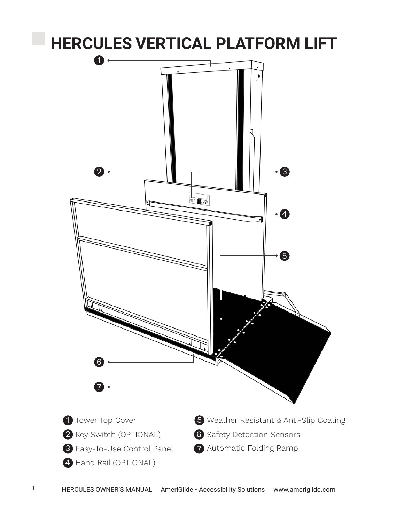# **HERCULES VERTICAL PLATFORM LIFT**  $\mathbf 0$  . 2 3  $\overline{\bullet\bullet}$ 4 6 6 7 1 Tower Top Cover 5 Weather Resistant & Anti-Slip Coating 2 Key Switch (OPTIONAL) 6 Safety Detection Sensors 7 Automatic Folding Ramp Easy-To-Use Control Panel 3 4 Hand Rail (OPTIONAL)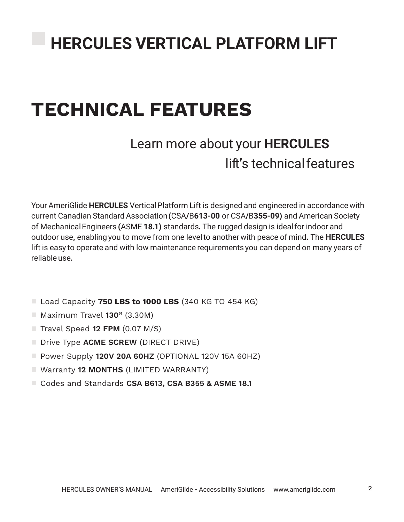# **TECHNICAL FEATURES**

# Learn more about your **HERCULES** lift**'**s technicalfeatures

Your AmeriGlide **HERCULES** Vertical Platform Lift is designed and engineered in accordance with current Canadian Standard Association **(**CSA**/**B**613-00** or CSA**/**B**355-09)** and American Society of MechanicalEngineers **(**ASME **18.1)** standards**.** The rugged design is idealfor indoor and outdoor use**,** enabling you to move from one levelto another with peace of mind**.** The **HERCULES**  lift is easy to operate and with low maintenance requirements you can depend on many years of reliable use**.**

- Load Capacity **750 LBS to 1000 LBS** (340 KG TO 454 KG)
- Maximum Travel **130"** (3.30M)
- $\blacksquare$  Travel Speed **12 FPM** (0.07 M/S)
- **Drive Type ACME SCREW (DIRECT DRIVE)**
- Power Supply **120V 20A 60HZ** (OPTIONAL 120V 15A 60HZ)
- Warranty **12 MONTHS** (LIMITED WARRANTY)
- Codes and Standards **CSA B613, CSA B355 & ASME 18.1**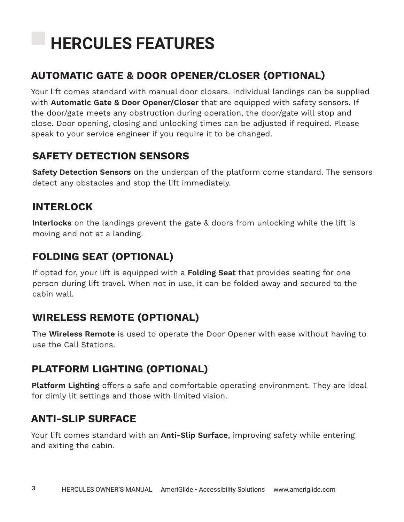# **HERCULES FEATURES**

# **AUTOMATIC GATE & DOOR OPENER/CLOSER (OPTIONAL)**

Your lift comes standard with manual door closers. Individual landings can be supplied with **Automatic Gate & Door Opener/Closer** that are equipped with safety sensors. If the door/gate meets any obstruction during operation, the door/gate will stop and close. Door opening, closing and unlocking times can be adjusted if required. Please speak to your service engineer if you require it to be changed.

### **SAFETY DETECTION SENSORS**

**Safety Detection Sensors** on the underpan of the platform come standard. The sensors detect any obstacles and stop the lift immediately.

### **INTERLOCK**

**Interlocks** on the landings prevent the gate & doors from unlocking while the lift is moving and not at a landing.

## **FOLDING SEAT (OPTIONAL)**

If opted for, your lift is equipped with a **Folding Seat** that provides seating for one person during lift travel. When not in use, it can be folded away and secured to the cabin wall.

# **WIRELESS REMOTE (OPTIONAL)**

The **Wireless Remote** is used to operate the Door Opener with ease without having to use the Call Stations.

# **PLATFORM LIGHTING (OPTIONAL)**

**Platform Lighting** offers a safe and comfortable operating environment. They are ideal for dimly lit settings and those with limited vision.

### **ANTI-SLIP SURFACE**

Your lift comes standard with an **Anti-Slip Surface**, improving safety while entering and exiting the cabin.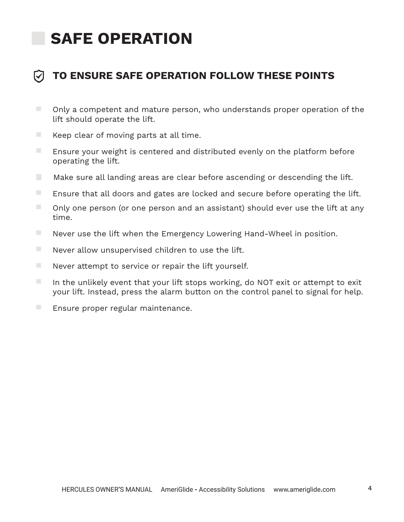# **SAFE OPERATION**



- $\mathcal{L}_{\mathcal{A}}$ Only a competent and mature person, who understands proper operation of the lift should operate the lift.
- $\overline{\phantom{a}}$ Keep clear of moving parts at all time.
- $\mathcal{L}^{\mathcal{L}}$ Ensure your weight is centered and distributed evenly on the platform before operating the lift.
- T. Make sure all landing areas are clear before ascending or descending the lift.
- $\mathcal{L}_{\mathcal{A}}$ Ensure that all doors and gates are locked and secure before operating the lift.
- $\mathcal{L}_{\mathcal{A}}$ Only one person (or one person and an assistant) should ever use the lift at any time.
- $\mathcal{L}_{\mathcal{A}}$ Never use the lift when the Emergency Lowering Hand-Wheel in position.
- Never allow unsupervised children to use the lift.
- $\Box$ Never attempt to service or repair the lift yourself.
- In the unlikely event that your lift stops working, do NOT exit or attempt to exit your lift. Instead, press the alarm button on the control panel to signal for help.
- $\mathcal{L}_{\mathcal{A}}$ Ensure proper regular maintenance.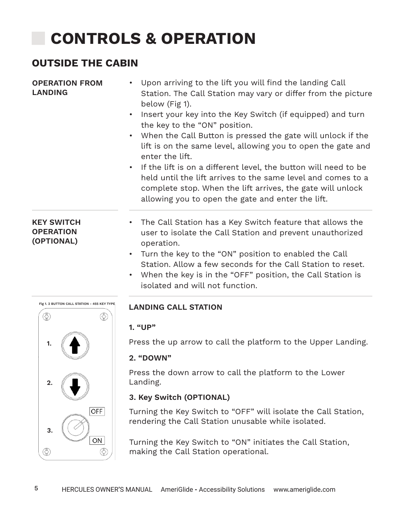# **CONTROLS & OPERATION**

### **OUTSIDE THE CABIN**

| <b>OPERATION FROM</b><br><b>LANDING</b> | • Upon arriving to the lift you will find the landing Call<br>Station. The Call Station may vary or differ from the picture<br>below (Fig 1). |
|-----------------------------------------|-----------------------------------------------------------------------------------------------------------------------------------------------|
|                                         |                                                                                                                                               |

- Insert your key into the Key Switch (if equipped) and turn the key to the "ON" position.
- When the Call Button is pressed the gate will unlock if the lift is on the same level, allowing you to open the gate and enter the lift.
- If the lift is on a different level, the button will need to be held until the lift arrives to the same level and comes to a complete stop. When the lift arrives, the gate will unlock allowing you to open the gate and enter the lift.

#### **KEY SWITCH OPERATION (OPTIONAL)**

- The Call Station has a Key Switch feature that allows the user to isolate the Call Station and prevent unauthorized operation.
	- Turn the key to the "ON" position to enabled the Call Station. Allow a few seconds for the Call Station to reset.
	- When the key is in the "OFF" position, the Call Station is isolated and will not function.



### **LANDING CALL STATION**

#### **1. "UP"**

Press the up arrow to call the platform to the Upper Landing.

#### **2. "DOWN"**

Press the down arrow to call the platform to the Lower Landing.

### **3. Key Switch (OPTIONAL)**

Turning the Key Switch to "OFF" will isolate the Call Station, rendering the Call Station unusable while isolated.

Turning the Key Switch to "ON" initiates the Call Station, making the Call Station operational.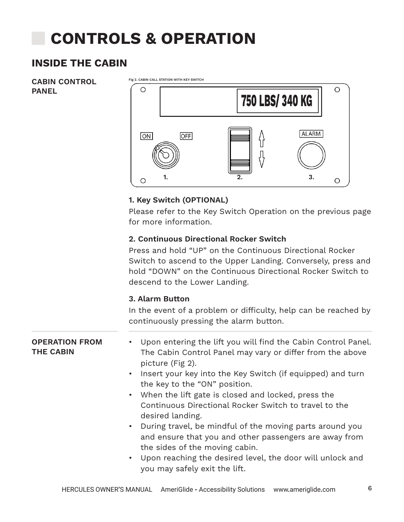# **CONTROLS & OPERATION**

### **INSIDE THE CABIN**

**CABIN CONTROL PANEL**



#### **1. Key Switch (OPTIONAL)**

Please refer to the Key Switch Operation on the previous page for more information.

#### **2. Continuous Directional Rocker Switch**

Press and hold "UP" on the Continuous Directional Rocker Switch to ascend to the Upper Landing. Conversely, press and hold "DOWN" on the Continuous Directional Rocker Switch to descend to the Lower Landing.

#### **3. Alarm Button**

In the event of a problem or difficulty, help can be reached by continuously pressing the alarm button.

#### **OPERATION FROM THE CABIN** Upon entering the lift you will find the Cabin Control Panel. The Cabin Control Panel may vary or differ from the above picture (Fig 2).

- Insert your key into the Key Switch (if equipped) and turn the key to the "ON" position.
- When the lift gate is closed and locked, press the Continuous Directional Rocker Switch to travel to the desired landing.
- During travel, be mindful of the moving parts around you and ensure that you and other passengers are away from the sides of the moving cabin.
- Upon reaching the desired level, the door will unlock and you may safely exit the lift.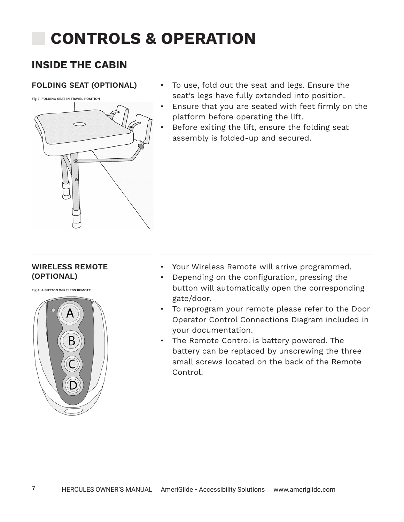# **CONTROLS & OPERATION**

### **INSIDE THE CABIN**

**Fig 3. FOLDING SEAT IN TRAVEL POSITION**



- **FOLDING SEAT (OPTIONAL)** To use, fold out the seat and legs. Ensure the seat's legs have fully extended into position.
	- Ensure that you are seated with feet firmly on the platform before operating the lift.
	- Before exiting the lift, ensure the folding seat assembly is folded-up and secured.

#### **WIRELESS REMOTE (OPTIONAL)**

**Fig 4. 4 BUTTON WIRELESS REMOTE**



- Your Wireless Remote will arrive programmed.
- Depending on the configuration, pressing the button will automatically open the corresponding gate/door.
- To reprogram your remote please refer to the Door Operator Control Connections Diagram included in your documentation.
- The Remote Control is battery powered. The battery can be replaced by unscrewing the three small screws located on the back of the Remote Control.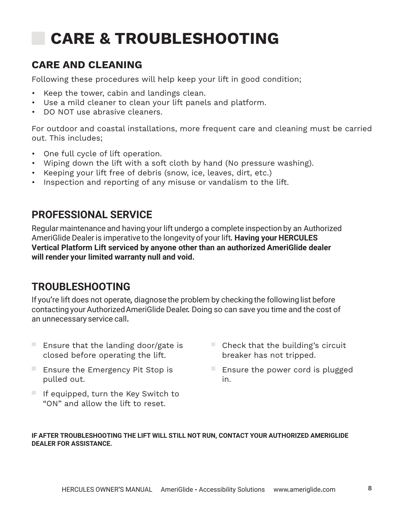# **CARE & TROUBLESHOOTING**

## **CARE AND CLEANING**

Following these procedures will help keep your lift in good condition;

- Keep the tower, cabin and landings clean.
- Use a mild cleaner to clean your lift panels and platform.
- DO NOT use abrasive cleaners.

For outdoor and coastal installations, more frequent care and cleaning must be carried out. This includes;

- One full cycle of lift operation.
- Wiping down the lift with a soft cloth by hand (No pressure washing).
- Keeping your lift free of debris (snow, ice, leaves, dirt, etc.)
- Inspection and reporting of any misuse or vandalism to the lift.

# **PROFESSIONAL SERVICE**

Regular maintenance and having your lift undergo a complete inspection by an Authorized AmeriGlide Dealeris imperative to the longevity of your lift**. Having your HERCULES Vertical Platform Lift serviced by anyone other than an authorized AmeriGlide dealer will render your limited warranty null and void.** 

# **TROUBLESHOOTING**

If you**'**re lift does not operate**,** diagnose the problem by checking the following list before contacting your AuthorizedAmeriGlide Dealer**.** Doing so can save you time and the cost of an unnecessary service call**.** 

- Ensure that the landing door/gate is closed before operating the lift.
- Ensure the Emergency Pit Stop is pulled out.
- $\blacksquare$  If equipped, turn the Key Switch to "ON" and allow the lift to reset.
- $\blacksquare$  Check that the building's circuit breaker has not tripped.
- Ensure the power cord is plugged in.

#### **IF AFTER TROUBLESHOOTING THE LIFT WILL STILL NOT RUN, CONTACT YOUR AUTHORIZED AMERIGLIDE DEALER FOR ASSISTANCE.**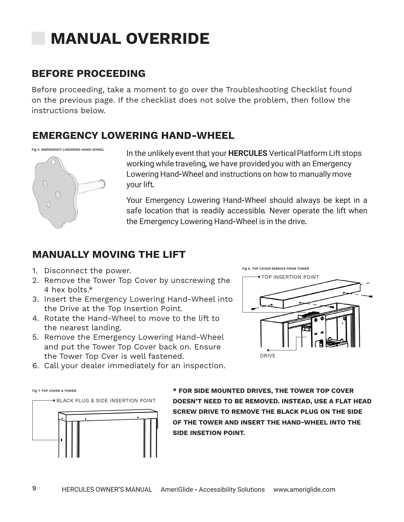# **MANUAL OVERRIDE**

### **BEFORE PROCEEDING**

Before proceeding, take a moment to go over the Troubleshooting Checklist found on the previous page. If the checklist does not solve the problem, then follow the instructions below.

### **EMERGENCY LOWERING HAND-WHEEL**





In the unlikely event that your **HERCULES** VerticalPlatform Lift stops working while traveling**,** we have provided you with an Emergency Lowering Hand**-**Wheel and instructions on how to manually move your lift**.**

Your Emergency Lowering Hand**-**Wheel should always be kept in a safe location that is readily accessible**.** Never operate the lift when the Emergency Lowering Hand**-**Wheel is in the drive**.**

### **MANUALLY MOVING THE LIFT**

- 1. Disconnect the power.
- 2. Remove the Tower Top Cover by unscrewing the 4 hex bolts.\*
- 3. Insert the Emergency Lowering Hand-Wheel into the Drive at the Top Insertion Point.
- 4. Rotate the Hand-Wheel to move to the lift to the nearest landing.
- 5. Remove the Emergency Lowering Hand-Wheel and put the Tower Top Cover back on. Ensure the Tower Top Cver is well fastened.



6. Call your dealer immediately for an inspection.

BLACK PLUG & SIDE INSERTION POINT **Fig 7. TOP COVER & TOWER** 



**\* FOR SIDE MOUNTED DRIVES, THE TOWER TOP COVER DOESN'T NEED TO BE REMOVED. INSTEAD, USE A FLAT HEAD SCREW DRIVE TO REMOVE THE BLACK PLUG ON THE SIDE OF THE TOWER AND INSERT THE HAND-WHEEL INTO THE SIDE INSETION POINT.**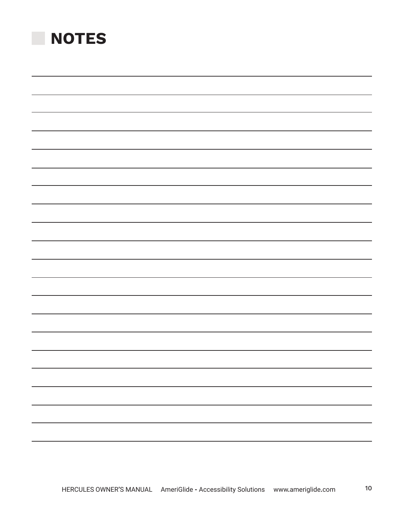| <b>NOTES</b> |  |  |
|--------------|--|--|
|              |  |  |
|              |  |  |
|              |  |  |
|              |  |  |
|              |  |  |
|              |  |  |
|              |  |  |
|              |  |  |
|              |  |  |
|              |  |  |
|              |  |  |
|              |  |  |
|              |  |  |
|              |  |  |
|              |  |  |
|              |  |  |
|              |  |  |
|              |  |  |
|              |  |  |
|              |  |  |